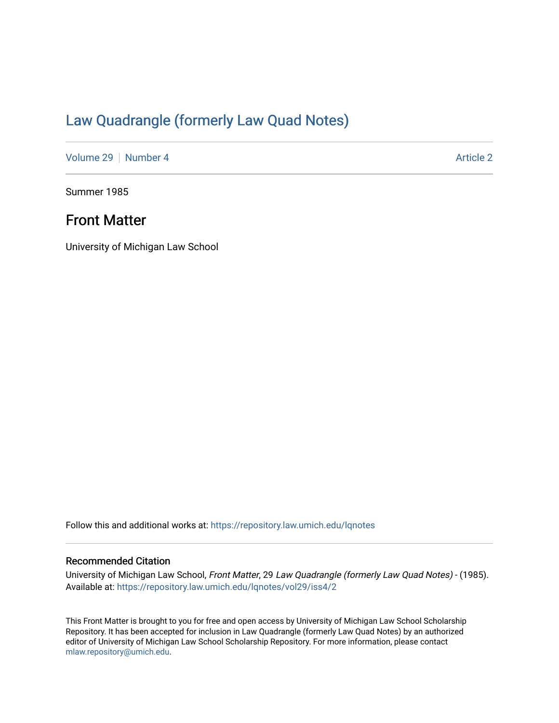## [Law Quadrangle \(formerly Law Quad Notes\)](https://repository.law.umich.edu/lqnotes)

[Volume 29](https://repository.law.umich.edu/lqnotes/vol29) [Number 4](https://repository.law.umich.edu/lqnotes/vol29/iss4) Article 2

Summer 1985

## Front Matter

University of Michigan Law School

Follow this and additional works at: [https://repository.law.umich.edu/lqnotes](https://repository.law.umich.edu/lqnotes?utm_source=repository.law.umich.edu%2Flqnotes%2Fvol29%2Fiss4%2F2&utm_medium=PDF&utm_campaign=PDFCoverPages) 

#### Recommended Citation

University of Michigan Law School, Front Matter, 29 Law Quadrangle (formerly Law Quad Notes) - (1985). Available at: [https://repository.law.umich.edu/lqnotes/vol29/iss4/2](https://repository.law.umich.edu/lqnotes/vol29/iss4/2?utm_source=repository.law.umich.edu%2Flqnotes%2Fvol29%2Fiss4%2F2&utm_medium=PDF&utm_campaign=PDFCoverPages) 

This Front Matter is brought to you for free and open access by University of Michigan Law School Scholarship Repository. It has been accepted for inclusion in Law Quadrangle (formerly Law Quad Notes) by an authorized editor of University of Michigan Law School Scholarship Repository. For more information, please contact [mlaw.repository@umich.edu.](mailto:mlaw.repository@umich.edu)